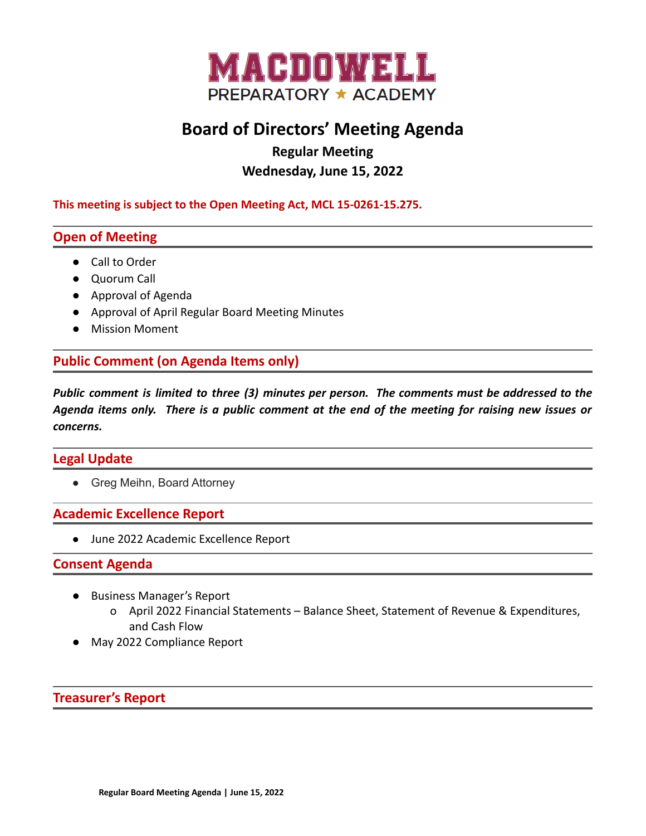

# **Board of Directors' Meeting Agenda**

**Regular Meeting**

# **Wednesday, June 15, 2022**

**This meeting is subject to the Open Meeting Act, MCL 15-0261-15.275.**

# **Open of Meeting**

- Call to Order
- Quorum Call
- Approval of Agenda
- Approval of April Regular Board Meeting Minutes
- Mission Moment

# **Public Comment (on Agenda Items only)**

*Public comment is limited to three (3) minutes per person. The comments must be addressed to the* Agenda items only. There is a public comment at the end of the meeting for raising new issues or *concerns.*

## **Legal Update**

• Greg Meihn, Board Attorney

## **Academic Excellence Report**

● June 2022 Academic Excellence Report

#### **Consent Agenda**

- Business Manager's Report
	- o April 2022 Financial Statements Balance Sheet, Statement of Revenue & Expenditures, and Cash Flow
- May 2022 Compliance Report

#### **Treasurer's Report**